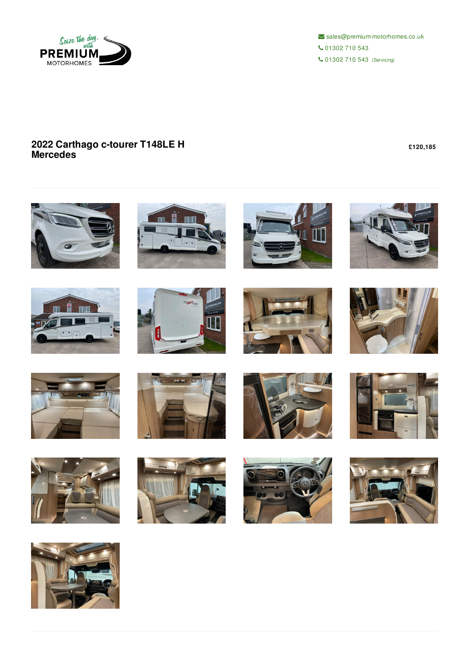

 $\blacktriangleright$  sales@premium-motorhomes.co.uk 01302 710 543 01302 710 543 (Servicing)

## **2022 Carthago c-tourer T148LE H Mercedes**

**£120,185**